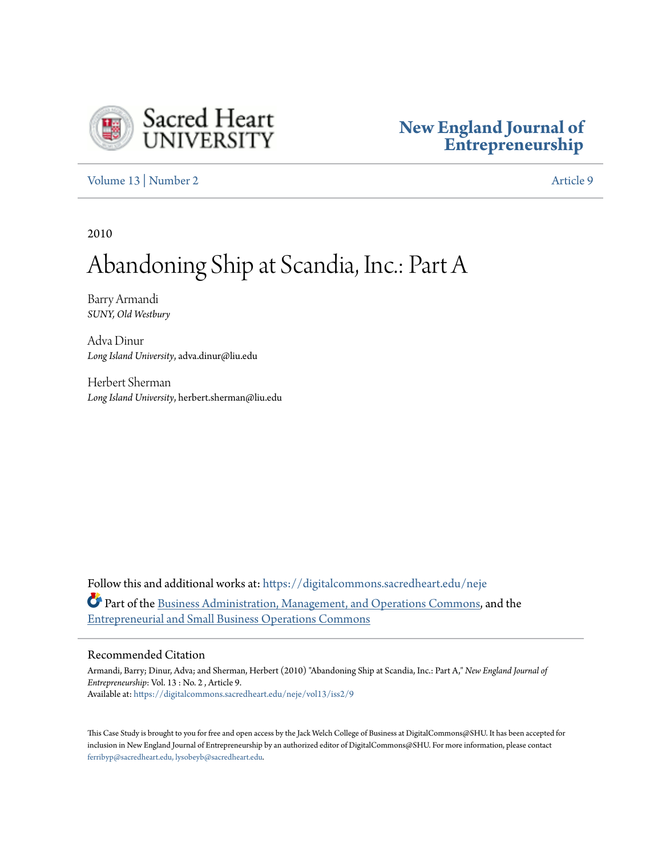

### **[New England Journal of](https://digitalcommons.sacredheart.edu/neje?utm_source=digitalcommons.sacredheart.edu%2Fneje%2Fvol13%2Fiss2%2F9&utm_medium=PDF&utm_campaign=PDFCoverPages) [Entrepreneurship](https://digitalcommons.sacredheart.edu/neje?utm_source=digitalcommons.sacredheart.edu%2Fneje%2Fvol13%2Fiss2%2F9&utm_medium=PDF&utm_campaign=PDFCoverPages)**

[Volume 13](https://digitalcommons.sacredheart.edu/neje/vol13?utm_source=digitalcommons.sacredheart.edu%2Fneje%2Fvol13%2Fiss2%2F9&utm_medium=PDF&utm_campaign=PDFCoverPages) | [Number 2](https://digitalcommons.sacredheart.edu/neje/vol13/iss2?utm_source=digitalcommons.sacredheart.edu%2Fneje%2Fvol13%2Fiss2%2F9&utm_medium=PDF&utm_campaign=PDFCoverPages) [Article 9](https://digitalcommons.sacredheart.edu/neje/vol13/iss2/9?utm_source=digitalcommons.sacredheart.edu%2Fneje%2Fvol13%2Fiss2%2F9&utm_medium=PDF&utm_campaign=PDFCoverPages)

2010

## Abandoning Ship at Scandia, Inc.: Part A

Barry Armandi *SUNY, Old Westbury*

Adva Dinur *Long Island University*, adva.dinur@liu.edu

Herbert Sherman *Long Island University*, herbert.sherman@liu.edu

Follow this and additional works at: [https://digitalcommons.sacredheart.edu/neje](https://digitalcommons.sacredheart.edu/neje?utm_source=digitalcommons.sacredheart.edu%2Fneje%2Fvol13%2Fiss2%2F9&utm_medium=PDF&utm_campaign=PDFCoverPages) Part of the [Business Administration, Management, and Operations Commons](http://network.bepress.com/hgg/discipline/623?utm_source=digitalcommons.sacredheart.edu%2Fneje%2Fvol13%2Fiss2%2F9&utm_medium=PDF&utm_campaign=PDFCoverPages), and the [Entrepreneurial and Small Business Operations Commons](http://network.bepress.com/hgg/discipline/630?utm_source=digitalcommons.sacredheart.edu%2Fneje%2Fvol13%2Fiss2%2F9&utm_medium=PDF&utm_campaign=PDFCoverPages)

#### Recommended Citation

Armandi, Barry; Dinur, Adva; and Sherman, Herbert (2010) "Abandoning Ship at Scandia, Inc.: Part A," *New England Journal of Entrepreneurship*: Vol. 13 : No. 2 , Article 9. Available at: [https://digitalcommons.sacredheart.edu/neje/vol13/iss2/9](https://digitalcommons.sacredheart.edu/neje/vol13/iss2/9?utm_source=digitalcommons.sacredheart.edu%2Fneje%2Fvol13%2Fiss2%2F9&utm_medium=PDF&utm_campaign=PDFCoverPages)

This Case Study is brought to you for free and open access by the Jack Welch College of Business at DigitalCommons@SHU. It has been accepted for inclusion in New England Journal of Entrepreneurship by an authorized editor of DigitalCommons@SHU. For more information, please contact [ferribyp@sacredheart.edu, lysobeyb@sacredheart.edu.](mailto:ferribyp@sacredheart.edu,%20lysobeyb@sacredheart.edu)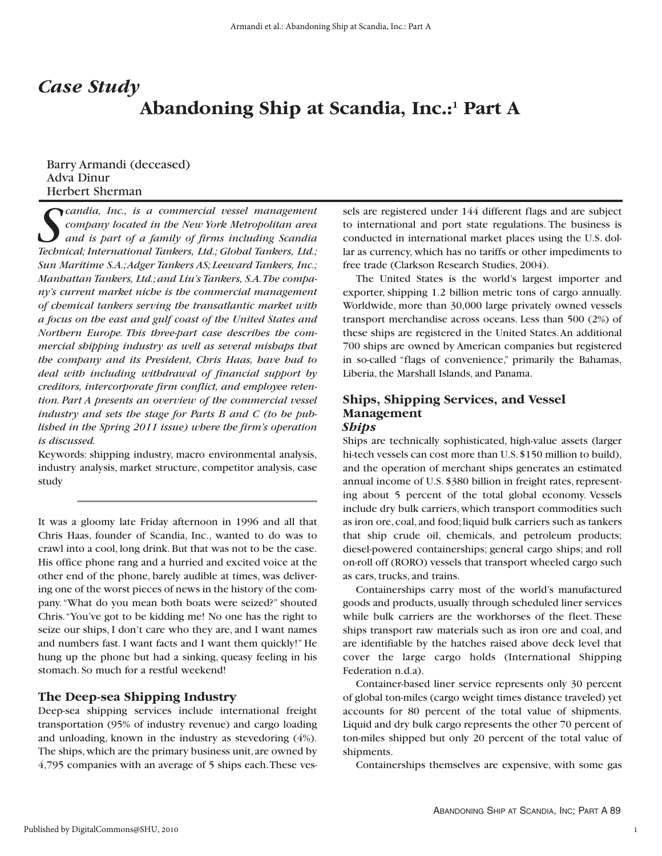## *Case Study* **Abandoning Ship at Scandia, Inc.:1 Part A**

#### Barry Armandi (deceased) Adva Dinur Herbert Sherman

*Scandia, Inc., is a commercial vessel management company located in the New York Metropolitan area and is part of a family of firms including Scandia Technical; International Tankers, Ltd.; Global Tankers, Ltd.; Sun Maritime S.A.;Adger Tankers AS; Leeward Tankers, Inc.; Manhattan Tankers, Ltd.; and Liu's Tankers, S.A.The company's current market niche is the commercial management of chemical tankers serving the transatlantic market with a focus on the east and gulf coast of the United States and Northern Europe. This three-part case describes the commercial shipping industry as well as several mishaps that the company and its President, Chris Haas, have had to deal with including withdrawal of financial support by creditors, intercorporate firm conflict, and employee retention. Part A presents an overview of the commercial vessel industry and sets the stage for Parts B and C (to be published in the Spring 2011 issue) where the firm's operation is discussed.*

Keywords: shipping industry, macro environmental analysis, industry analysis, market structure, competitor analysis, case study

It was a gloomy late Friday afternoon in 1996 and all that Chris Haas, founder of Scandia, Inc., wanted to do was to crawl into a cool, long drink. But that was not to be the case. His office phone rang and a hurried and excited voice at the other end of the phone, barely audible at times, was delivering one of the worst pieces of news in the history of the company."What do you mean both boats were seized?" shouted Chris."You've got to be kidding me! No one has the right to seize our ships, I don't care who they are, and I want names and numbers fast. I want facts and I want them quickly!" He hung up the phone but had a sinking, queasy feeling in his stomach. So much for a restful weekend!

#### **The Deep-sea Shipping Industry**

Deep-sea shipping services include international freight transportation (95% of industry revenue) and cargo loading and unloading, known in the industry as stevedoring (4%). The ships, which are the primary business unit, are owned by 4,795 companies with an average of 5 ships each.These vessels are registered under 144 different flags and are subject to international and port state regulations. The business is conducted in international market places using the U.S. dollar as currency, which has no tariffs or other impediments to free trade (Clarkson Research Studies, 2004).

The United States is the world's largest importer and exporter, shipping 1.2 billion metric tons of cargo annually. Worldwide, more than 30,000 large privately owned vessels transport merchandise across oceans. Less than 500 (2%) of these ships are registered in the United States.An additional 700 ships are owned by American companies but registered in so-called "flags of convenience," primarily the Bahamas, Liberia, the Marshall Islands, and Panama.

#### **Ships, Shipping Services, and Vessel Management** *Ships*

Ships are technically sophisticated, high-value assets (larger hi-tech vessels can cost more than U.S. \$150 million to build), and the operation of merchant ships generates an estimated annual income of U.S. \$380 billion in freight rates, representing about 5 percent of the total global economy. Vessels include dry bulk carriers, which transport commodities such as iron ore, coal, and food; liquid bulk carriers such as tankers that ship crude oil, chemicals, and petroleum products; diesel-powered containerships; general cargo ships; and roll on-roll off (RORO) vessels that transport wheeled cargo such as cars, trucks, and trains.

Containerships carry most of the world's manufactured goods and products, usually through scheduled liner services while bulk carriers are the workhorses of the fleet. These ships transport raw materials such as iron ore and coal, and are identifiable by the hatches raised above deck level that cover the large cargo holds (International Shipping Federation n.d.a).

Container-based liner service represents only 30 percent of global ton-miles (cargo weight times distance traveled) yet accounts for 80 percent of the total value of shipments. Liquid and dry bulk cargo represents the other 70 percent of ton-miles shipped but only 20 percent of the total value of shipments.

Containerships themselves are expensive, with some gas

1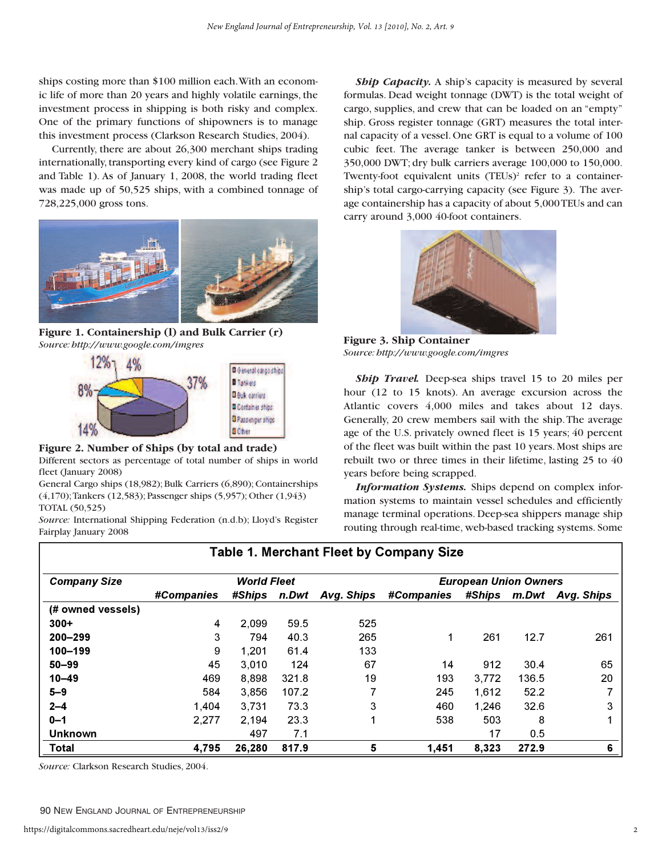ships costing more than \$100 million each.With an economic life of more than 20 years and highly volatile earnings, the investment process in shipping is both risky and complex. One of the primary functions of shipowners is to manage this investment process (Clarkson Research Studies, 2004).

Currently, there are about 26,300 merchant ships trading internationally, transporting every kind of cargo (see Figure 2 and Table 1). As of January 1, 2008, the world trading fleet was made up of 50,525 ships, with a combined tonnage of 728,225,000 gross tons.



**Figure 1. Containership (l) and Bulk Carrier (r)** *Source: http://www.google.com/imgres* **Figure 3. Ship Container**



#### **Figure 2. Number of Ships (by total and trade)**

Different sectors as percentage of total number of ships in world fleet (January 2008)

General Cargo ships (18,982); Bulk Carriers (6,890); Containerships (4,170);Tankers (12,583); Passenger ships (5,957); Other (1,943) TOTAL (50,525)

*Source:* International Shipping Federation (n.d.b); Lloyd's Register Fairplay January 2008

**Ship Capacity.** A ship's capacity is measured by several formulas. Dead weight tonnage (DWT) is the total weight of cargo, supplies, and crew that can be loaded on an "empty" ship. Gross register tonnage (GRT) measures the total internal capacity of a vessel. One GRT is equal to a volume of 100 cubic feet. The average tanker is between 250,000 and 350,000 DWT; dry bulk carriers average 100,000 to 150,000. Twenty-foot equivalent units  $(TEUs)^2$  refer to a containership's total cargo-carrying capacity (see Figure 3). The average containership has a capacity of about 5,000 TEUs and can carry around 3,000 40-foot containers.



*Source: http://www.google.com/imgres*

*Ship Travel.* Deep-sea ships travel 15 to 20 miles per hour (12 to 15 knots). An average excursion across the Atlantic covers 4,000 miles and takes about 12 days. Generally, 20 crew members sail with the ship.The average age of the U.S. privately owned fleet is 15 years; 40 percent of the fleet was built within the past 10 years. Most ships are rebuilt two or three times in their lifetime, lasting 25 to 40 years before being scrapped.

*Information Systems.* Ships depend on complex information systems to maintain vessel schedules and efficiently manage terminal operations. Deep-sea shippers manage ship routing through real-time, web-based tracking systems. Some

| <b>Company Size</b> | <b>World Fleet</b> |               |       |            | <b>European Union Owners</b> |               |       |            |
|---------------------|--------------------|---------------|-------|------------|------------------------------|---------------|-------|------------|
|                     | #Companies         | <b>#Ships</b> | n.Dwt | Avg. Ships | <b>#Companies</b>            | <b>#Ships</b> | m.Dwt | Avg. Ships |
| (# owned vessels)   |                    |               |       |            |                              |               |       |            |
| $300+$              | 4                  | 2.099         | 59.5  | 525        |                              |               |       |            |
| $200 - 299$         | 3                  | 794           | 40.3  | 265        | 1                            | 261           | 12.7  | 261        |
| 100-199             | 9                  | 1.201         | 61.4  | 133        |                              |               |       |            |
| $50 - 99$           | 45                 | 3.010         | 124   | 67         | 14                           | 912           | 30.4  | 65         |
| $10 - 49$           | 469                | 8,898         | 321.8 | 19         | 193                          | 3,772         | 136.5 | 20         |
| $5 - 9$             | 584                | 3,856         | 107.2 |            | 245                          | 1,612         | 52.2  |            |
| $2 - 4$             | 1,404              | 3.731         | 73.3  | 3          | 460                          | 1.246         | 32.6  | 3          |
| $0 - 1$             | 2,277              | 2.194         | 23.3  |            | 538                          | 503           | 8     |            |
| <b>Unknown</b>      |                    | 497           | 7.1   |            |                              | 17            | 0.5   |            |
| Total               | 4.795              | 26.280        | 817.9 | 5          | 1,451                        | 8.323         | 272.9 | 6          |

**Table 1. Merchant Fleet by Company Size**

*Source:* Clarkson Research Studies, 2004.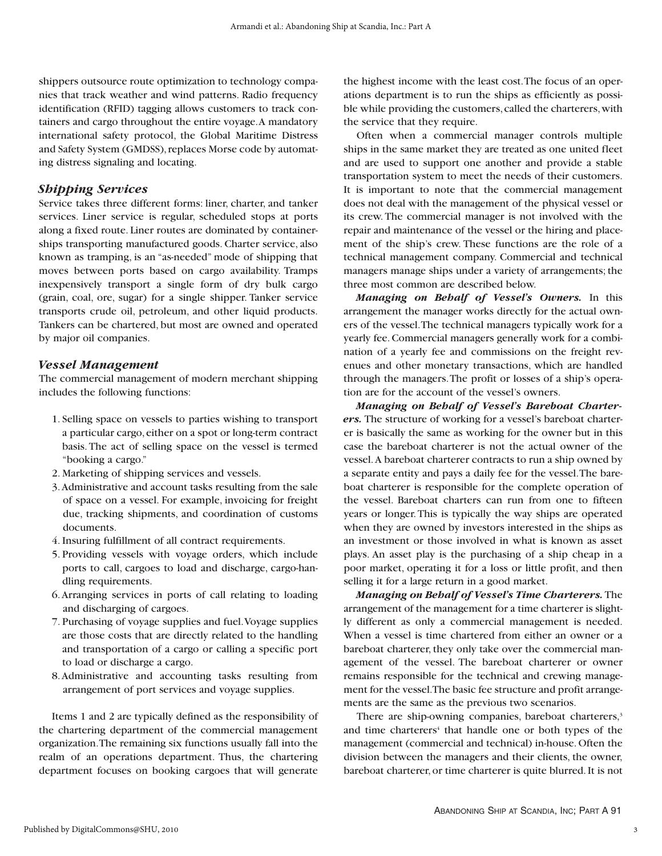shippers outsource route optimization to technology companies that track weather and wind patterns. Radio frequency identification (RFID) tagging allows customers to track containers and cargo throughout the entire voyage.A mandatory international safety protocol, the Global Maritime Distress and Safety System (GMDSS), replaces Morse code by automating distress signaling and locating.

#### *Shipping Services*

Service takes three different forms: liner, charter, and tanker services. Liner service is regular, scheduled stops at ports along a fixed route. Liner routes are dominated by containerships transporting manufactured goods. Charter service, also known as tramping, is an "as-needed" mode of shipping that moves between ports based on cargo availability. Tramps inexpensively transport a single form of dry bulk cargo (grain, coal, ore, sugar) for a single shipper. Tanker service transports crude oil, petroleum, and other liquid products. Tankers can be chartered, but most are owned and operated by major oil companies.

#### *Vessel Management*

The commercial management of modern merchant shipping includes the following functions:

- 1. Selling space on vessels to parties wishing to transport a particular cargo, either on a spot or long-term contract basis. The act of selling space on the vessel is termed "booking a cargo."
- 2. Marketing of shipping services and vessels.
- 3.Administrative and account tasks resulting from the sale of space on a vessel. For example, invoicing for freight due, tracking shipments, and coordination of customs documents.
- 4. Insuring fulfillment of all contract requirements.
- 5. Providing vessels with voyage orders, which include ports to call, cargoes to load and discharge, cargo-handling requirements.
- 6.Arranging services in ports of call relating to loading and discharging of cargoes.
- 7. Purchasing of voyage supplies and fuel.Voyage supplies are those costs that are directly related to the handling and transportation of a cargo or calling a specific port to load or discharge a cargo.
- 8.Administrative and accounting tasks resulting from arrangement of port services and voyage supplies.

Items 1 and 2 are typically defined as the responsibility of the chartering department of the commercial management organization.The remaining six functions usually fall into the realm of an operations department. Thus, the chartering department focuses on booking cargoes that will generate

the highest income with the least cost.The focus of an operations department is to run the ships as efficiently as possible while providing the customers, called the charterers, with the service that they require.

Often when a commercial manager controls multiple ships in the same market they are treated as one united fleet and are used to support one another and provide a stable transportation system to meet the needs of their customers. It is important to note that the commercial management does not deal with the management of the physical vessel or its crew. The commercial manager is not involved with the repair and maintenance of the vessel or the hiring and placement of the ship's crew. These functions are the role of a technical management company. Commercial and technical managers manage ships under a variety of arrangements; the three most common are described below.

*Managing on Behalf of Vessel's Owners.* In this arrangement the manager works directly for the actual owners of the vessel.The technical managers typically work for a yearly fee. Commercial managers generally work for a combination of a yearly fee and commissions on the freight revenues and other monetary transactions, which are handled through the managers.The profit or losses of a ship's operation are for the account of the vessel's owners.

*Managing on Behalf of Vessel's Bareboat Charterers.* The structure of working for a vessel's bareboat charterer is basically the same as working for the owner but in this case the bareboat charterer is not the actual owner of the vessel.A bareboat charterer contracts to run a ship owned by a separate entity and pays a daily fee for the vessel.The bareboat charterer is responsible for the complete operation of the vessel. Bareboat charters can run from one to fifteen years or longer.This is typically the way ships are operated when they are owned by investors interested in the ships as an investment or those involved in what is known as asset plays. An asset play is the purchasing of a ship cheap in a poor market, operating it for a loss or little profit, and then selling it for a large return in a good market.

*Managing on Behalf of Vessel's Time Charterers.*The arrangement of the management for a time charterer is slightly different as only a commercial management is needed. When a vessel is time chartered from either an owner or a bareboat charterer, they only take over the commercial management of the vessel. The bareboat charterer or owner remains responsible for the technical and crewing management for the vessel.The basic fee structure and profit arrangements are the same as the previous two scenarios.

There are ship-owning companies, bareboat charterers,<sup>3</sup> and time charterers<sup>4</sup> that handle one or both types of the management (commercial and technical) in-house. Often the division between the managers and their clients, the owner, bareboat charterer, or time charterer is quite blurred. It is not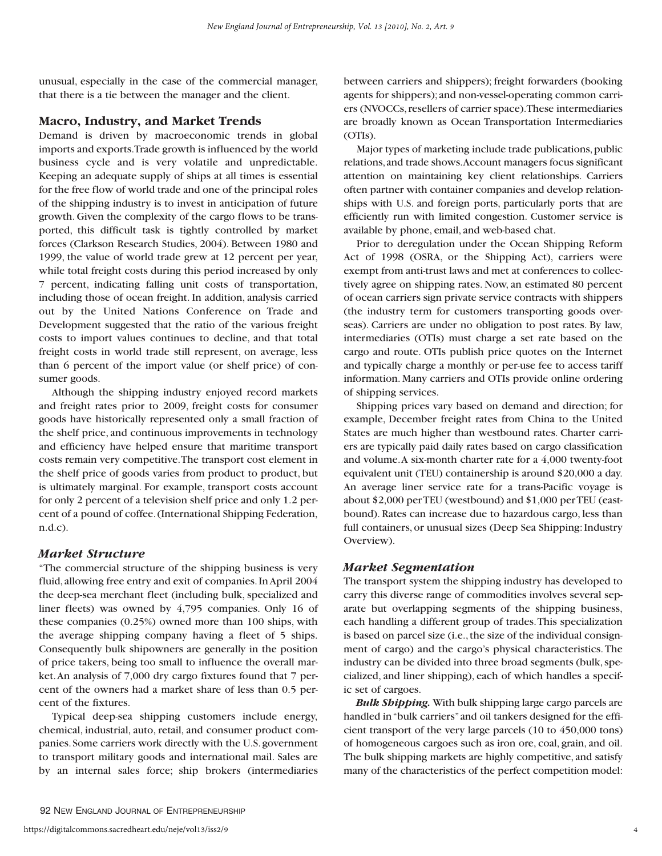unusual, especially in the case of the commercial manager, that there is a tie between the manager and the client.

#### **Macro, Industry, and Market Trends**

Demand is driven by macroeconomic trends in global imports and exports.Trade growth is influenced by the world business cycle and is very volatile and unpredictable. Keeping an adequate supply of ships at all times is essential for the free flow of world trade and one of the principal roles of the shipping industry is to invest in anticipation of future growth. Given the complexity of the cargo flows to be transported, this difficult task is tightly controlled by market forces (Clarkson Research Studies, 2004). Between 1980 and 1999, the value of world trade grew at 12 percent per year, while total freight costs during this period increased by only 7 percent, indicating falling unit costs of transportation, including those of ocean freight. In addition, analysis carried out by the United Nations Conference on Trade and Development suggested that the ratio of the various freight costs to import values continues to decline, and that total freight costs in world trade still represent, on average, less than 6 percent of the import value (or shelf price) of consumer goods.

Although the shipping industry enjoyed record markets and freight rates prior to 2009, freight costs for consumer goods have historically represented only a small fraction of the shelf price, and continuous improvements in technology and efficiency have helped ensure that maritime transport costs remain very competitive.The transport cost element in the shelf price of goods varies from product to product, but is ultimately marginal. For example, transport costs account for only 2 percent of a television shelf price and only 1.2 percent of a pound of coffee.(International Shipping Federation, n.d.c).

#### *Market Structure*

"The commercial structure of the shipping business is very fluid,allowing free entry and exit of companies.In April 2004 the deep-sea merchant fleet (including bulk, specialized and liner fleets) was owned by 4,795 companies. Only 16 of these companies (0.25%) owned more than 100 ships, with the average shipping company having a fleet of 5 ships. Consequently bulk shipowners are generally in the position of price takers, being too small to influence the overall market.An analysis of 7,000 dry cargo fixtures found that 7 percent of the owners had a market share of less than 0.5 percent of the fixtures.

Typical deep-sea shipping customers include energy, chemical, industrial, auto, retail, and consumer product companies. Some carriers work directly with the U.S.government to transport military goods and international mail. Sales are by an internal sales force; ship brokers (intermediaries

between carriers and shippers); freight forwarders (booking agents for shippers); and non-vessel-operating common carriers (NVOCCs,resellers of carrier space).These intermediaries are broadly known as Ocean Transportation Intermediaries (OTIs).

Major types of marketing include trade publications, public relations,and trade shows.Account managers focus significant attention on maintaining key client relationships. Carriers often partner with container companies and develop relationships with U.S. and foreign ports, particularly ports that are efficiently run with limited congestion. Customer service is available by phone, email, and web-based chat.

Prior to deregulation under the Ocean Shipping Reform Act of 1998 (OSRA, or the Shipping Act), carriers were exempt from anti-trust laws and met at conferences to collectively agree on shipping rates. Now, an estimated 80 percent of ocean carriers sign private service contracts with shippers (the industry term for customers transporting goods overseas). Carriers are under no obligation to post rates. By law, intermediaries (OTIs) must charge a set rate based on the cargo and route. OTIs publish price quotes on the Internet and typically charge a monthly or per-use fee to access tariff information. Many carriers and OTIs provide online ordering of shipping services.

Shipping prices vary based on demand and direction; for example, December freight rates from China to the United States are much higher than westbound rates. Charter carriers are typically paid daily rates based on cargo classification and volume.A six-month charter rate for a 4,000 twenty-foot equivalent unit (TEU) containership is around \$20,000 a day. An average liner service rate for a trans-Pacific voyage is about \$2,000 per TEU (westbound) and \$1,000 per TEU (eastbound). Rates can increase due to hazardous cargo, less than full containers, or unusual sizes (Deep Sea Shipping: Industry Overview).

#### *Market Segmentation*

The transport system the shipping industry has developed to carry this diverse range of commodities involves several separate but overlapping segments of the shipping business, each handling a different group of trades.This specialization is based on parcel size (i.e.,the size of the individual consignment of cargo) and the cargo's physical characteristics.The industry can be divided into three broad segments (bulk, specialized, and liner shipping), each of which handles a specific set of cargoes.

*Bulk Shipping.*With bulk shipping large cargo parcels are handled in "bulk carriers"and oil tankers designed for the efficient transport of the very large parcels (10 to 450,000 tons) of homogeneous cargoes such as iron ore, coal, grain, and oil. The bulk shipping markets are highly competitive, and satisfy many of the characteristics of the perfect competition model: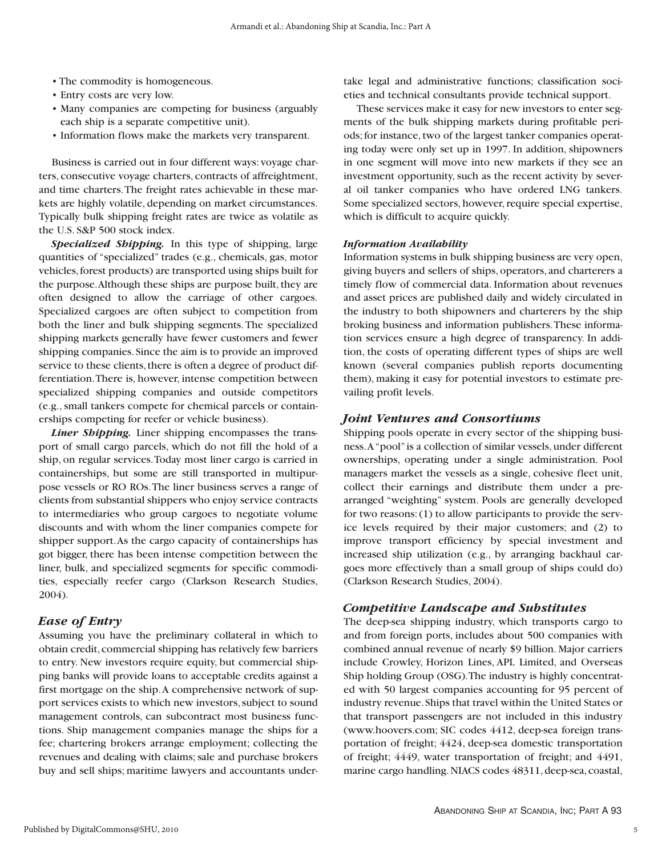- The commodity is homogeneous.
- Entry costs are very low.
- Many companies are competing for business (arguably each ship is a separate competitive unit).
- Information flows make the markets very transparent.

Business is carried out in four different ways: voyage charters, consecutive voyage charters, contracts of affreightment, and time charters.The freight rates achievable in these markets are highly volatile, depending on market circumstances. Typically bulk shipping freight rates are twice as volatile as the U.S. S&P 500 stock index.

*Specialized Shipping.* In this type of shipping, large quantities of "specialized" trades (e.g., chemicals, gas, motor vehicles,forest products) are transported using ships built for the purpose.Although these ships are purpose built, they are often designed to allow the carriage of other cargoes. Specialized cargoes are often subject to competition from both the liner and bulk shipping segments. The specialized shipping markets generally have fewer customers and fewer shipping companies.Since the aim is to provide an improved service to these clients, there is often a degree of product differentiation.There is, however, intense competition between specialized shipping companies and outside competitors (e.g., small tankers compete for chemical parcels or containerships competing for reefer or vehicle business).

*Liner Shipping.* Liner shipping encompasses the transport of small cargo parcels, which do not fill the hold of a ship, on regular services.Today most liner cargo is carried in containerships, but some are still transported in multipurpose vessels or RO ROs.The liner business serves a range of clients from substantial shippers who enjoy service contracts to intermediaries who group cargoes to negotiate volume discounts and with whom the liner companies compete for shipper support.As the cargo capacity of containerships has got bigger, there has been intense competition between the liner, bulk, and specialized segments for specific commodities, especially reefer cargo (Clarkson Research Studies, 2004).

#### *Ease of Entry*

Assuming you have the preliminary collateral in which to obtain credit, commercial shipping has relatively few barriers to entry. New investors require equity, but commercial shipping banks will provide loans to acceptable credits against a first mortgage on the ship.A comprehensive network of support services exists to which new investors, subject to sound management controls, can subcontract most business functions. Ship management companies manage the ships for a fee; chartering brokers arrange employment; collecting the revenues and dealing with claims; sale and purchase brokers buy and sell ships; maritime lawyers and accountants undertake legal and administrative functions; classification societies and technical consultants provide technical support.

These services make it easy for new investors to enter segments of the bulk shipping markets during profitable periods; for instance, two of the largest tanker companies operating today were only set up in 1997. In addition, shipowners in one segment will move into new markets if they see an investment opportunity, such as the recent activity by several oil tanker companies who have ordered LNG tankers. Some specialized sectors, however, require special expertise, which is difficult to acquire quickly.

#### *Information Availability*

Information systems in bulk shipping business are very open, giving buyers and sellers of ships, operators, and charterers a timely flow of commercial data. Information about revenues and asset prices are published daily and widely circulated in the industry to both shipowners and charterers by the ship broking business and information publishers.These information services ensure a high degree of transparency. In addition, the costs of operating different types of ships are well known (several companies publish reports documenting them), making it easy for potential investors to estimate prevailing profit levels.

#### *Joint Ventures and Consortiums*

Shipping pools operate in every sector of the shipping business.A"pool"is a collection of similar vessels, under different ownerships, operating under a single administration. Pool managers market the vessels as a single, cohesive fleet unit, collect their earnings and distribute them under a prearranged "weighting" system. Pools are generally developed for two reasons: (1) to allow participants to provide the service levels required by their major customers; and (2) to improve transport efficiency by special investment and increased ship utilization (e.g., by arranging backhaul cargoes more effectively than a small group of ships could do) (Clarkson Research Studies, 2004).

#### *Competitive Landscape and Substitutes*

The deep-sea shipping industry, which transports cargo to and from foreign ports, includes about 500 companies with combined annual revenue of nearly \$9 billion. Major carriers include Crowley, Horizon Lines, APL Limited, and Overseas Ship holding Group (OSG).The industry is highly concentrated with 50 largest companies accounting for 95 percent of industry revenue.Ships that travel within the United States or that transport passengers are not included in this industry (www.hoovers.com; SIC codes 4412, deep-sea foreign transportation of freight; 4424, deep-sea domestic transportation of freight; 4449, water transportation of freight; and 4491, marine cargo handling. NIACS codes 48311, deep-sea, coastal,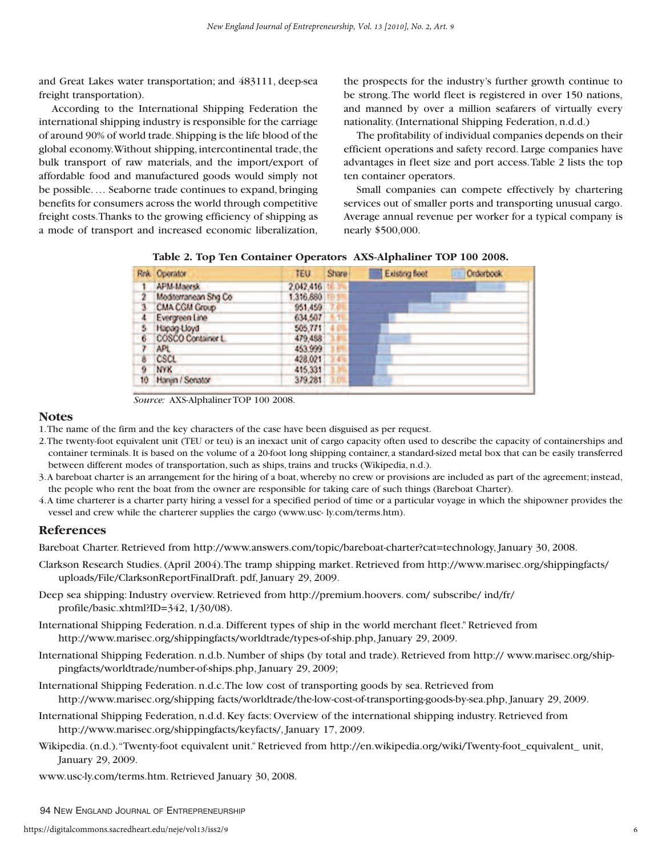and Great Lakes water transportation; and 483111, deep-sea freight transportation).

According to the International Shipping Federation the international shipping industry is responsible for the carriage of around 90% of world trade.Shipping is the life blood of the global economy.Without shipping, intercontinental trade, the bulk transport of raw materials, and the import/export of affordable food and manufactured goods would simply not be possible. … Seaborne trade continues to expand, bringing benefits for consumers across the world through competitive freight costs.Thanks to the growing efficiency of shipping as a mode of transport and increased economic liberalization,

the prospects for the industry's further growth continue to be strong.The world fleet is registered in over 150 nations, and manned by over a million seafarers of virtually every nationality. (International Shipping Federation, n.d.d.)

The profitability of individual companies depends on their efficient operations and safety record. Large companies have advantages in fleet size and port access.Table 2 lists the top ten container operators.

Small companies can compete effectively by chartering services out of smaller ports and transporting unusual cargo. Average annual revenue per worker for a typical company is nearly \$500,000.

|                         | <b>Rok</b> Operator  | <b>TEU</b> | Shara | Existing floot | Orderbook |
|-------------------------|----------------------|------------|-------|----------------|-----------|
|                         | APM-Maersk           | 2.042.416  |       |                |           |
| $\overline{2}$          | Mediterranean Sha Co | 1,316,880  |       |                |           |
| $\overline{\mathbf{3}}$ | CMA CGM Group        | 951,459    |       |                |           |
| 4                       | Evergreen Line       | 634,507    |       |                |           |
| 5                       | Hanan-Lloyd          | 505,771    |       |                |           |
| 6                       | COSCO Container L.   | 479,488    |       |                |           |
|                         | APL.                 | 453,999    |       |                |           |
| 8                       | CSCL                 | 428,021    |       |                |           |
| 9                       | <b>NYK</b>           | 415.331    |       |                |           |
| 10 <sub>10</sub>        | Hanjin / Senator     | 379,281    |       |                |           |

**Table 2. Top Ten Container Operators AXS-Alphaliner TOP 100 2008.**

*Source:* AXS-Alphaliner TOP 100 2008.

#### **Notes**

1.The name of the firm and the key characters of the case have been disguised as per request.

- 2.The twenty-foot equivalent unit (TEU or teu) is an inexact unit of cargo capacity often used to describe the capacity of containerships and container terminals. It is based on the volume of a 20-foot long shipping container, a standard-sized metal box that can be easily transferred between different modes of transportation, such as ships, trains and trucks (Wikipedia, n.d.).
- 3.A bareboat charter is an arrangement for the hiring of a boat, whereby no crew or provisions are included as part of the agreement; instead, the people who rent the boat from the owner are responsible for taking care of such things (Bareboat Charter).
- 4.A time charterer is a charter party hiring a vessel for a specified period of time or a particular voyage in which the shipowner provides the vessel and crew while the charterer supplies the cargo (www.usc- ly.com/terms.htm).

#### **References**

Bareboat Charter. Retrieved from http://www.answers.com/topic/bareboat-charter?cat=technology, January 30, 2008.

- Clarkson Research Studies. (April 2004).The tramp shipping market. Retrieved from http://www.marisec.org/shippingfacts/ uploads/File/ClarksonReportFinalDraft. pdf, January 29, 2009.
- Deep sea shipping: Industry overview. Retrieved from http://premium.hoovers. com/ subscribe/ ind/fr/ profile/basic.xhtml?ID=342, 1/30/08).
- International Shipping Federation. n.d.a. Different types of ship in the world merchant fleet." Retrieved from http://www.marisec.org/shippingfacts/worldtrade/types-of-ship.php, January 29, 2009.
- International Shipping Federation. n.d.b. Number of ships (by total and trade). Retrieved from http:// www.marisec.org/shippingfacts/worldtrade/number-of-ships.php, January 29, 2009;
- International Shipping Federation. n.d.c.The low cost of transporting goods by sea. Retrieved from http://www.marisec.org/shipping facts/worldtrade/the-low-cost-of-transporting-goods-by-sea.php, January 29, 2009.
- International Shipping Federation, n.d.d. Key facts: Overview of the international shipping industry. Retrieved from http://www.marisec.org/shippingfacts/keyfacts/, January 17, 2009.
- Wikipedia. (n.d.)."Twenty-foot equivalent unit." Retrieved from http://en.wikipedia.org/wiki/Twenty-foot\_equivalent\_ unit, January 29, 2009.
- www.usc-ly.com/terms.htm. Retrieved January 30, 2008.